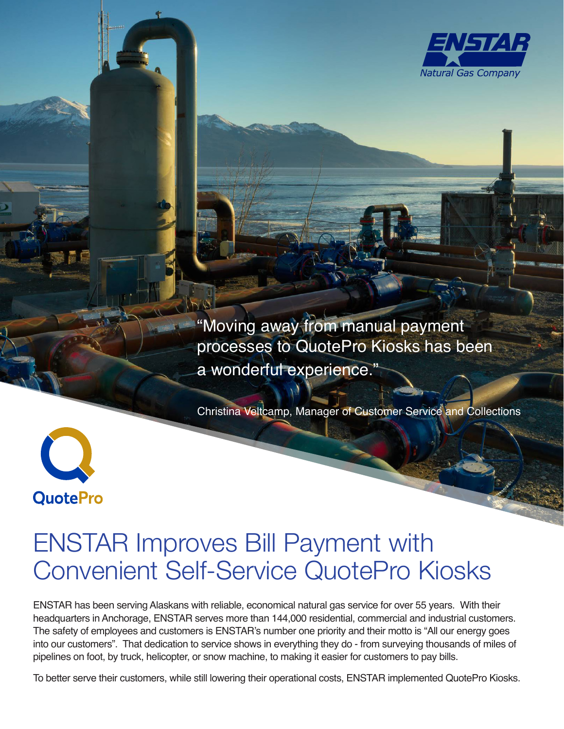

"Moving away from manual payment processes to QuotePro Kiosks has been a wonderful experience."

Christina Veltcamp, Manager of Customer Service and Collections



# ENSTAR Improves Bill Payment with Convenient Self-Service QuotePro Kiosks

ENSTAR has been serving Alaskans with reliable, economical natural gas service for over 55 years. With their headquarters in Anchorage, ENSTAR serves more than 144,000 residential, commercial and industrial customers. The safety of employees and customers is ENSTAR's number one priority and their motto is "All our energy goes into our customers". That dedication to service shows in everything they do - from surveying thousands of miles of pipelines on foot, by truck, helicopter, or snow machine, to making it easier for customers to pay bills.

To better serve their customers, while still lowering their operational costs, ENSTAR implemented QuotePro Kiosks.